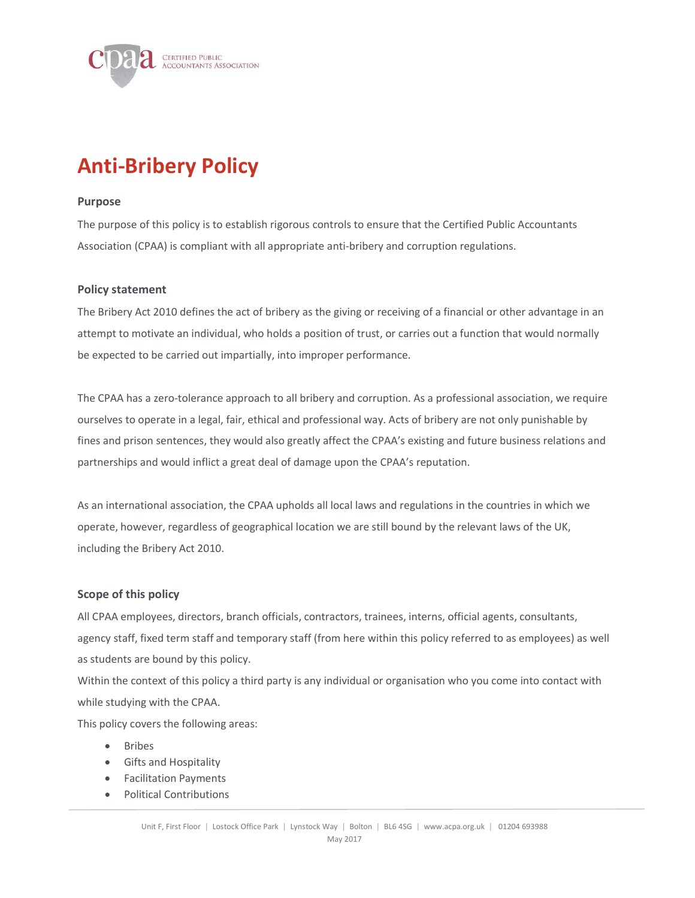

# Anti-Bribery Policy

#### Purpose

The purpose of this policy is to establish rigorous controls to ensure that the Certified Public Accountants Association (CPAA) is compliant with all appropriate anti-bribery and corruption regulations.

## Policy statement

The Bribery Act 2010 defines the act of bribery as the giving or receiving of a financial or other advantage in an attempt to motivate an individual, who holds a position of trust, or carries out a function that would normally be expected to be carried out impartially, into improper performance.

The CPAA has a zero-tolerance approach to all bribery and corruption. As a professional association, we require ourselves to operate in a legal, fair, ethical and professional way. Acts of bribery are not only punishable by fines and prison sentences, they would also greatly affect the CPAA's existing and future business relations and partnerships and would inflict a great deal of damage upon the CPAA's reputation.

As an international association, the CPAA upholds all local laws and regulations in the countries in which we operate, however, regardless of geographical location we are still bound by the relevant laws of the UK, including the Bribery Act 2010.

# Scope of this policy

All CPAA employees, directors, branch officials, contractors, trainees, interns, official agents, consultants, agency staff, fixed term staff and temporary staff (from here within this policy referred to as employees) as well as students are bound by this policy.

Within the context of this policy a third party is any individual or organisation who you come into contact with while studying with the CPAA.

This policy covers the following areas:

- Bribes
- Gifts and Hospitality
- **•** Facilitation Payments
- Political Contributions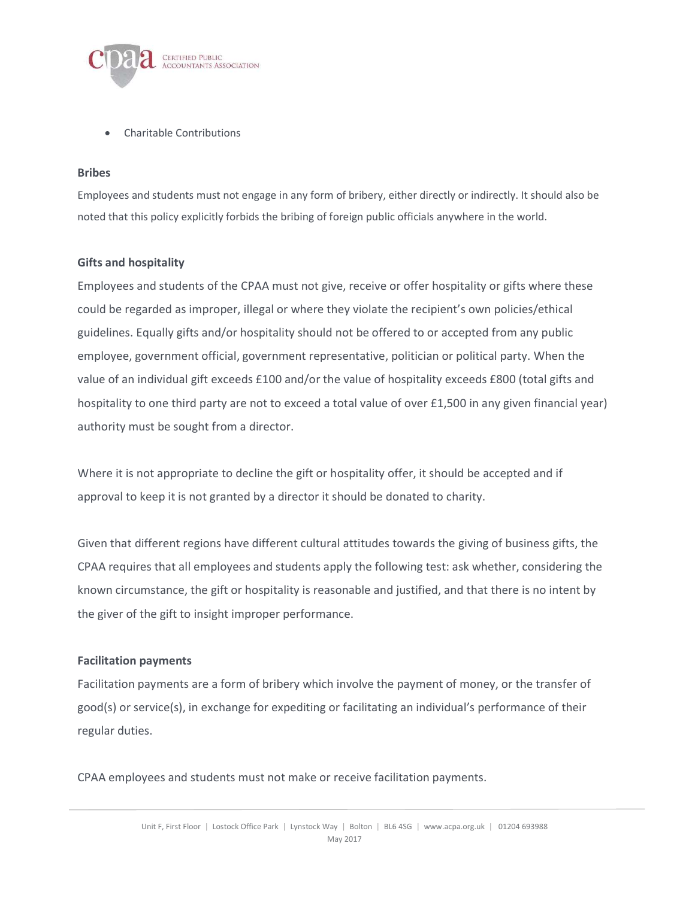

Charitable Contributions

#### Bribes

Employees and students must not engage in any form of bribery, either directly or indirectly. It should also be noted that this policy explicitly forbids the bribing of foreign public officials anywhere in the world.

## Gifts and hospitality

Employees and students of the CPAA must not give, receive or offer hospitality or gifts where these could be regarded as improper, illegal or where they violate the recipient's own policies/ethical guidelines. Equally gifts and/or hospitality should not be offered to or accepted from any public employee, government official, government representative, politician or political party. When the value of an individual gift exceeds £100 and/or the value of hospitality exceeds £800 (total gifts and hospitality to one third party are not to exceed a total value of over £1,500 in any given financial year) authority must be sought from a director.

Where it is not appropriate to decline the gift or hospitality offer, it should be accepted and if approval to keep it is not granted by a director it should be donated to charity.

Given that different regions have different cultural attitudes towards the giving of business gifts, the CPAA requires that all employees and students apply the following test: ask whether, considering the known circumstance, the gift or hospitality is reasonable and justified, and that there is no intent by the giver of the gift to insight improper performance.

#### Facilitation payments

Facilitation payments are a form of bribery which involve the payment of money, or the transfer of good(s) or service(s), in exchange for expediting or facilitating an individual's performance of their regular duties.

CPAA employees and students must not make or receive facilitation payments.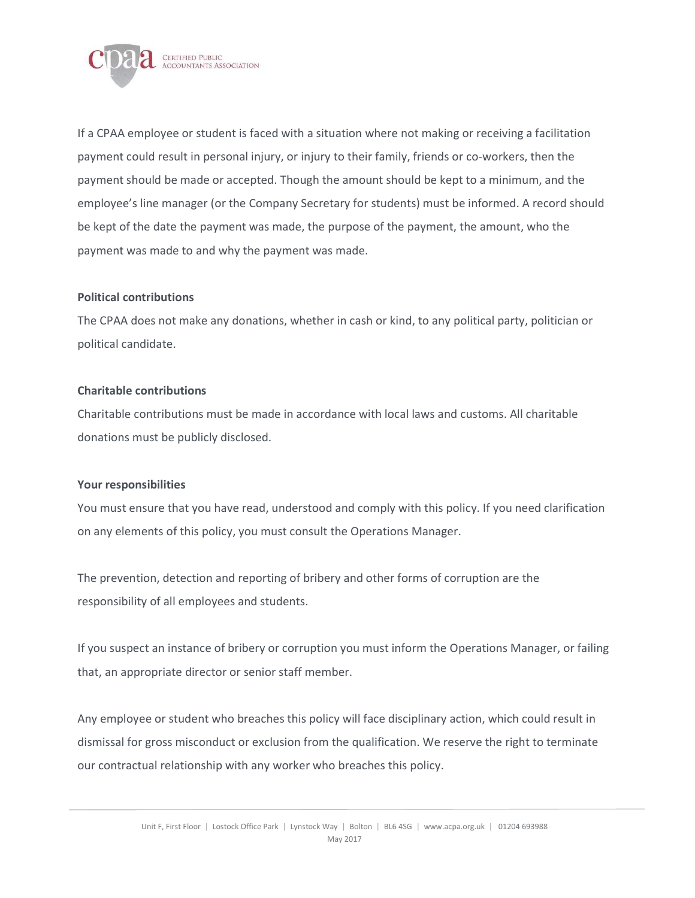

If a CPAA employee or student is faced with a situation where not making or receiving a facilitation payment could result in personal injury, or injury to their family, friends or co-workers, then the payment should be made or accepted. Though the amount should be kept to a minimum, and the employee's line manager (or the Company Secretary for students) must be informed. A record should be kept of the date the payment was made, the purpose of the payment, the amount, who the payment was made to and why the payment was made.

## Political contributions

The CPAA does not make any donations, whether in cash or kind, to any political party, politician or political candidate.

## Charitable contributions

Charitable contributions must be made in accordance with local laws and customs. All charitable donations must be publicly disclosed.

#### Your responsibilities

You must ensure that you have read, understood and comply with this policy. If you need clarification on any elements of this policy, you must consult the Operations Manager.

The prevention, detection and reporting of bribery and other forms of corruption are the responsibility of all employees and students.

If you suspect an instance of bribery or corruption you must inform the Operations Manager, or failing that, an appropriate director or senior staff member.

Any employee or student who breaches this policy will face disciplinary action, which could result in dismissal for gross misconduct or exclusion from the qualification. We reserve the right to terminate our contractual relationship with any worker who breaches this policy.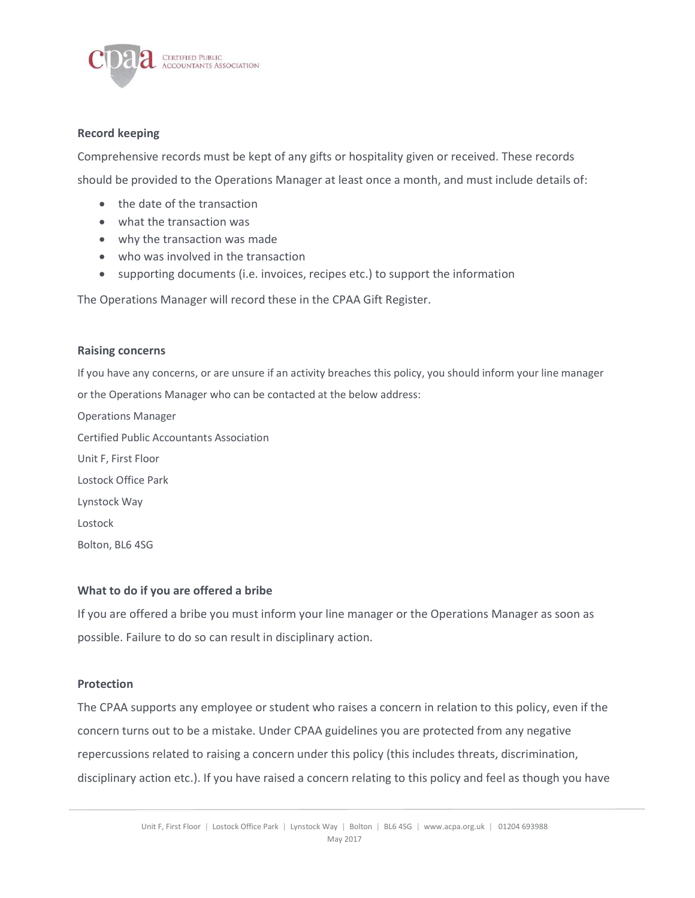

# Record keeping

Comprehensive records must be kept of any gifts or hospitality given or received. These records should be provided to the Operations Manager at least once a month, and must include details of:

- the date of the transaction
- what the transaction was
- why the transaction was made
- who was involved in the transaction
- supporting documents (i.e. invoices, recipes etc.) to support the information

The Operations Manager will record these in the CPAA Gift Register.

## Raising concerns

If you have any concerns, or are unsure if an activity breaches this policy, you should inform your line manager or the Operations Manager who can be contacted at the below address:

Operations Manager Certified Public Accountants Association Unit F, First Floor Lostock Office Park Lynstock Way Lostock

Bolton, BL6 4SG

# What to do if you are offered a bribe

If you are offered a bribe you must inform your line manager or the Operations Manager as soon as possible. Failure to do so can result in disciplinary action.

#### Protection

The CPAA supports any employee or student who raises a concern in relation to this policy, even if the concern turns out to be a mistake. Under CPAA guidelines you are protected from any negative repercussions related to raising a concern under this policy (this includes threats, discrimination, disciplinary action etc.). If you have raised a concern relating to this policy and feel as though you have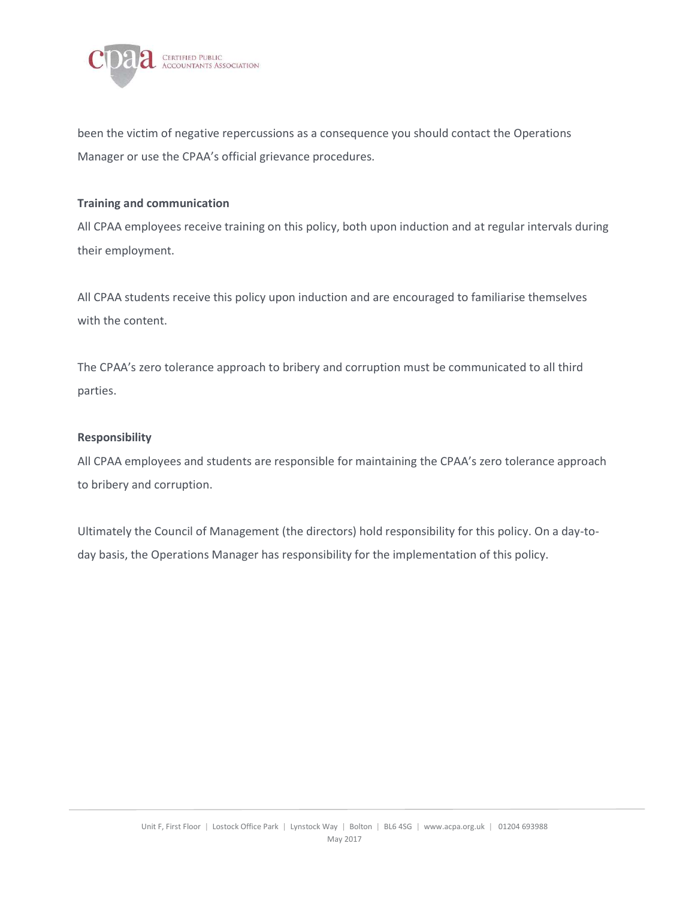

been the victim of negative repercussions as a consequence you should contact the Operations Manager or use the CPAA's official grievance procedures.

# Training and communication

All CPAA employees receive training on this policy, both upon induction and at regular intervals during their employment.

All CPAA students receive this policy upon induction and are encouraged to familiarise themselves with the content.

The CPAA's zero tolerance approach to bribery and corruption must be communicated to all third parties.

# Responsibility

All CPAA employees and students are responsible for maintaining the CPAA's zero tolerance approach to bribery and corruption.

Ultimately the Council of Management (the directors) hold responsibility for this policy. On a day-today basis, the Operations Manager has responsibility for the implementation of this policy.